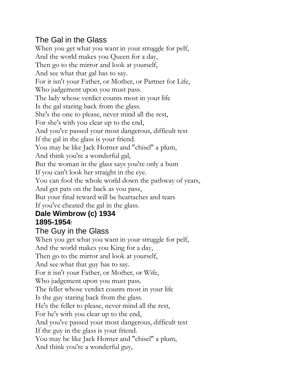## The Gal in the Glass

When you get what you want in your struggle for pelf, And the world makes you Queen for a day, Then go to the mirror and look at yourself, And see what that gal has to say. For it isn't your Father, or Mother, or Partner for Life, Who judgement upon you must pass. The lady whose verdict counts most in your life Is the gal staring back from the glass. She's the one to please, never mind all the rest, For she's with you clear up to the end, And you've passed your most dangerous, difficult test If the gal in the glass is your friend. You may be like Jack Horner and "chisel" a plum, And think you're a wonderful gal, But the woman in the glass says you're only a bum If you can't look her straight in the eye. You can fool the whole world down the pathway of years, And get pats on the back as you pass, But your final reward will be heartaches and tears If you've cheated the gal in the glass. **Dale Wimbrow (c) 1934 1895-1954**! The Guy in the Glass When you get what you want in your struggle for pelf, And the world makes you King for a day,

Then go to the mirror and look at yourself, And see what that guy has to say. For it isn't your Father, or Mother, or Wife, Who judgement upon you must pass. The feller whose verdict counts most in your life Is the guy staring back from the glass. He's the feller to please, never mind all the rest, For he's with you clear up to the end, And you've passed your most dangerous, difficult test If the guy in the glass is your friend. You may be like Jack Horner and "chisel" a plum, And think you're a wonderful guy,